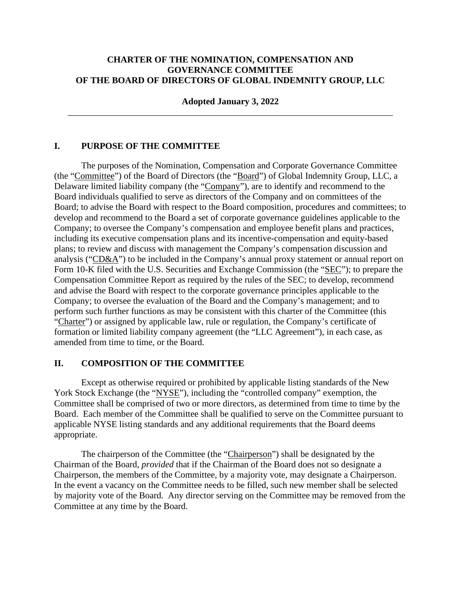#### **CHARTER OF THE NOMINATION, COMPENSATION AND GOVERNANCE COMMITTEE OF THE BOARD OF DIRECTORS OF GLOBAL INDEMNITY GROUP, LLC**

**Adopted January 3, 2022**  \_\_\_\_\_\_\_\_\_\_\_\_\_\_\_\_\_\_\_\_\_\_\_\_\_\_\_\_\_\_\_\_\_\_\_\_\_\_\_\_\_\_\_\_\_\_\_\_\_\_\_\_\_\_\_\_\_\_\_\_\_\_\_\_\_\_\_\_\_\_\_\_

#### **I. PURPOSE OF THE COMMITTEE**

The purposes of the Nomination, Compensation and Corporate Governance Committee (the "Committee") of the Board of Directors (the "Board") of Global Indemnity Group, LLC, a Delaware limited liability company (the "Company"), are to identify and recommend to the Board individuals qualified to serve as directors of the Company and on committees of the Board; to advise the Board with respect to the Board composition, procedures and committees; to develop and recommend to the Board a set of corporate governance guidelines applicable to the Company; to oversee the Company's compensation and employee benefit plans and practices, including its executive compensation plans and its incentive-compensation and equity-based plans; to review and discuss with management the Company's compensation discussion and analysis ("CD&A") to be included in the Company's annual proxy statement or annual report on Form 10-K filed with the U.S. Securities and Exchange Commission (the "SEC"); to prepare the Compensation Committee Report as required by the rules of the SEC; to develop, recommend and advise the Board with respect to the corporate governance principles applicable to the Company; to oversee the evaluation of the Board and the Company's management; and to perform such further functions as may be consistent with this charter of the Committee (this "Charter") or assigned by applicable law, rule or regulation, the Company's certificate of formation or limited liability company agreement (the "LLC Agreement"), in each case, as amended from time to time, or the Board.

#### **II. COMPOSITION OF THE COMMITTEE**

Except as otherwise required or prohibited by applicable listing standards of the New York Stock Exchange (the "NYSE"), including the "controlled company" exemption, the Committee shall be comprised of two or more directors, as determined from time to time by the Board. Each member of the Committee shall be qualified to serve on the Committee pursuant to applicable NYSE listing standards and any additional requirements that the Board deems appropriate.

The chairperson of the Committee (the "Chairperson") shall be designated by the Chairman of the Board, *provided* that if the Chairman of the Board does not so designate a Chairperson, the members of the Committee, by a majority vote, may designate a Chairperson. In the event a vacancy on the Committee needs to be filled, such new member shall be selected by majority vote of the Board. Any director serving on the Committee may be removed from the Committee at any time by the Board.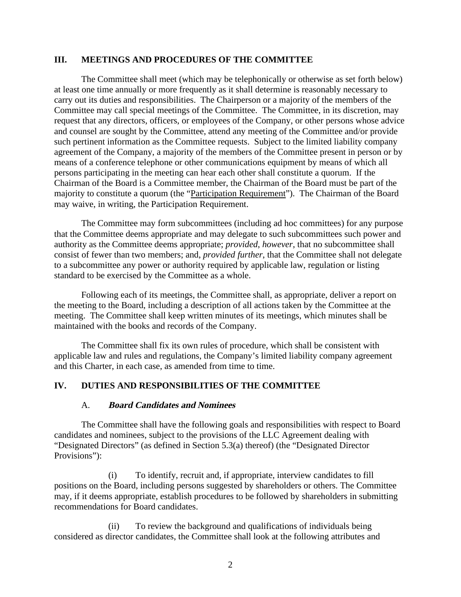#### **III. MEETINGS AND PROCEDURES OF THE COMMITTEE**

The Committee shall meet (which may be telephonically or otherwise as set forth below) at least one time annually or more frequently as it shall determine is reasonably necessary to carry out its duties and responsibilities. The Chairperson or a majority of the members of the Committee may call special meetings of the Committee. The Committee, in its discretion, may request that any directors, officers, or employees of the Company, or other persons whose advice and counsel are sought by the Committee, attend any meeting of the Committee and/or provide such pertinent information as the Committee requests. Subject to the limited liability company agreement of the Company, a majority of the members of the Committee present in person or by means of a conference telephone or other communications equipment by means of which all persons participating in the meeting can hear each other shall constitute a quorum. If the Chairman of the Board is a Committee member, the Chairman of the Board must be part of the majority to constitute a quorum (the "Participation Requirement"). The Chairman of the Board may waive, in writing, the Participation Requirement.

The Committee may form subcommittees (including ad hoc committees) for any purpose that the Committee deems appropriate and may delegate to such subcommittees such power and authority as the Committee deems appropriate; *provided*, *however*, that no subcommittee shall consist of fewer than two members; and, *provided further*, that the Committee shall not delegate to a subcommittee any power or authority required by applicable law, regulation or listing standard to be exercised by the Committee as a whole.

Following each of its meetings, the Committee shall, as appropriate, deliver a report on the meeting to the Board, including a description of all actions taken by the Committee at the meeting. The Committee shall keep written minutes of its meetings, which minutes shall be maintained with the books and records of the Company.

The Committee shall fix its own rules of procedure, which shall be consistent with applicable law and rules and regulations, the Company's limited liability company agreement and this Charter, in each case, as amended from time to time.

### **IV. DUTIES AND RESPONSIBILITIES OF THE COMMITTEE**

#### A. **Board Candidates and Nominees**

The Committee shall have the following goals and responsibilities with respect to Board candidates and nominees, subject to the provisions of the LLC Agreement dealing with "Designated Directors" (as defined in Section 5.3(a) thereof) (the "Designated Director Provisions"):

(i) To identify, recruit and, if appropriate, interview candidates to fill positions on the Board, including persons suggested by shareholders or others. The Committee may, if it deems appropriate, establish procedures to be followed by shareholders in submitting recommendations for Board candidates.

(ii) To review the background and qualifications of individuals being considered as director candidates, the Committee shall look at the following attributes and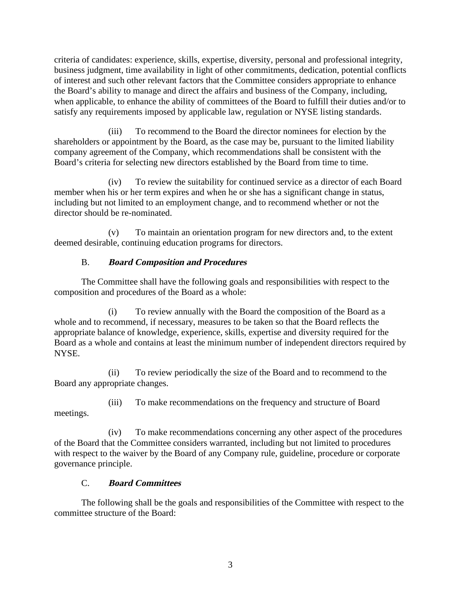criteria of candidates: experience, skills, expertise, diversity, personal and professional integrity, business judgment, time availability in light of other commitments, dedication, potential conflicts of interest and such other relevant factors that the Committee considers appropriate to enhance the Board's ability to manage and direct the affairs and business of the Company, including, when applicable, to enhance the ability of committees of the Board to fulfill their duties and/or to satisfy any requirements imposed by applicable law, regulation or NYSE listing standards.

(iii) To recommend to the Board the director nominees for election by the shareholders or appointment by the Board, as the case may be, pursuant to the limited liability company agreement of the Company, which recommendations shall be consistent with the Board's criteria for selecting new directors established by the Board from time to time.

(iv) To review the suitability for continued service as a director of each Board member when his or her term expires and when he or she has a significant change in status, including but not limited to an employment change, and to recommend whether or not the director should be re-nominated.

(v) To maintain an orientation program for new directors and, to the extent deemed desirable, continuing education programs for directors.

# B. **Board Composition and Procedures**

The Committee shall have the following goals and responsibilities with respect to the composition and procedures of the Board as a whole:

(i) To review annually with the Board the composition of the Board as a whole and to recommend, if necessary, measures to be taken so that the Board reflects the appropriate balance of knowledge, experience, skills, expertise and diversity required for the Board as a whole and contains at least the minimum number of independent directors required by NYSE.

(ii) To review periodically the size of the Board and to recommend to the Board any appropriate changes.

(iii) To make recommendations on the frequency and structure of Board meetings.

(iv) To make recommendations concerning any other aspect of the procedures of the Board that the Committee considers warranted, including but not limited to procedures with respect to the waiver by the Board of any Company rule, guideline, procedure or corporate governance principle.

# C. **Board Committees**

The following shall be the goals and responsibilities of the Committee with respect to the committee structure of the Board: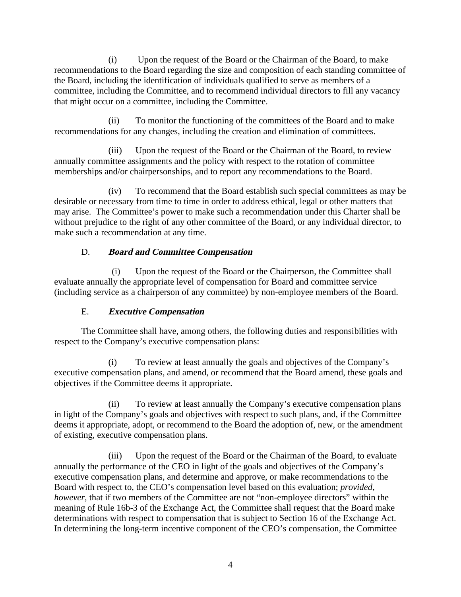(i) Upon the request of the Board or the Chairman of the Board, to make recommendations to the Board regarding the size and composition of each standing committee of the Board, including the identification of individuals qualified to serve as members of a committee, including the Committee, and to recommend individual directors to fill any vacancy that might occur on a committee, including the Committee.

(ii) To monitor the functioning of the committees of the Board and to make recommendations for any changes, including the creation and elimination of committees.

(iii) Upon the request of the Board or the Chairman of the Board, to review annually committee assignments and the policy with respect to the rotation of committee memberships and/or chairpersonships, and to report any recommendations to the Board.

(iv) To recommend that the Board establish such special committees as may be desirable or necessary from time to time in order to address ethical, legal or other matters that may arise. The Committee's power to make such a recommendation under this Charter shall be without prejudice to the right of any other committee of the Board, or any individual director, to make such a recommendation at any time.

# D. **Board and Committee Compensation**

(i) Upon the request of the Board or the Chairperson, the Committee shall evaluate annually the appropriate level of compensation for Board and committee service (including service as a chairperson of any committee) by non-employee members of the Board.

# E. **Executive Compensation**

The Committee shall have, among others, the following duties and responsibilities with respect to the Company's executive compensation plans:

(i) To review at least annually the goals and objectives of the Company's executive compensation plans, and amend, or recommend that the Board amend, these goals and objectives if the Committee deems it appropriate.

(ii) To review at least annually the Company's executive compensation plans in light of the Company's goals and objectives with respect to such plans, and, if the Committee deems it appropriate, adopt, or recommend to the Board the adoption of, new, or the amendment of existing, executive compensation plans.

(iii) Upon the request of the Board or the Chairman of the Board, to evaluate annually the performance of the CEO in light of the goals and objectives of the Company's executive compensation plans, and determine and approve, or make recommendations to the Board with respect to, the CEO's compensation level based on this evaluation; *provided*, *however*, that if two members of the Committee are not "non-employee directors" within the meaning of Rule 16b-3 of the Exchange Act, the Committee shall request that the Board make determinations with respect to compensation that is subject to Section 16 of the Exchange Act. In determining the long-term incentive component of the CEO's compensation, the Committee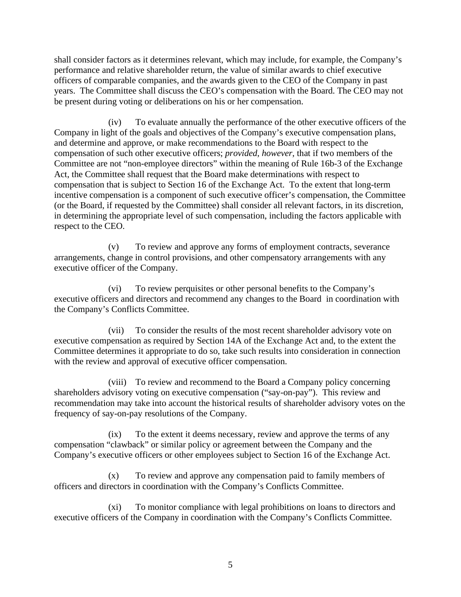shall consider factors as it determines relevant, which may include, for example, the Company's performance and relative shareholder return, the value of similar awards to chief executive officers of comparable companies, and the awards given to the CEO of the Company in past years. The Committee shall discuss the CEO's compensation with the Board. The CEO may not be present during voting or deliberations on his or her compensation.

(iv) To evaluate annually the performance of the other executive officers of the Company in light of the goals and objectives of the Company's executive compensation plans, and determine and approve, or make recommendations to the Board with respect to the compensation of such other executive officers; *provided*, *however*, that if two members of the Committee are not "non-employee directors" within the meaning of Rule 16b-3 of the Exchange Act, the Committee shall request that the Board make determinations with respect to compensation that is subject to Section 16 of the Exchange Act. To the extent that long-term incentive compensation is a component of such executive officer's compensation, the Committee (or the Board, if requested by the Committee) shall consider all relevant factors, in its discretion, in determining the appropriate level of such compensation, including the factors applicable with respect to the CEO.

(v) To review and approve any forms of employment contracts, severance arrangements, change in control provisions, and other compensatory arrangements with any executive officer of the Company.

(vi) To review perquisites or other personal benefits to the Company's executive officers and directors and recommend any changes to the Board in coordination with the Company's Conflicts Committee.

(vii) To consider the results of the most recent shareholder advisory vote on executive compensation as required by Section 14A of the Exchange Act and, to the extent the Committee determines it appropriate to do so, take such results into consideration in connection with the review and approval of executive officer compensation.

(viii) To review and recommend to the Board a Company policy concerning shareholders advisory voting on executive compensation ("say-on-pay"). This review and recommendation may take into account the historical results of shareholder advisory votes on the frequency of say-on-pay resolutions of the Company.

(ix) To the extent it deems necessary, review and approve the terms of any compensation "clawback" or similar policy or agreement between the Company and the Company's executive officers or other employees subject to Section 16 of the Exchange Act.

(x) To review and approve any compensation paid to family members of officers and directors in coordination with the Company's Conflicts Committee.

(xi) To monitor compliance with legal prohibitions on loans to directors and executive officers of the Company in coordination with the Company's Conflicts Committee.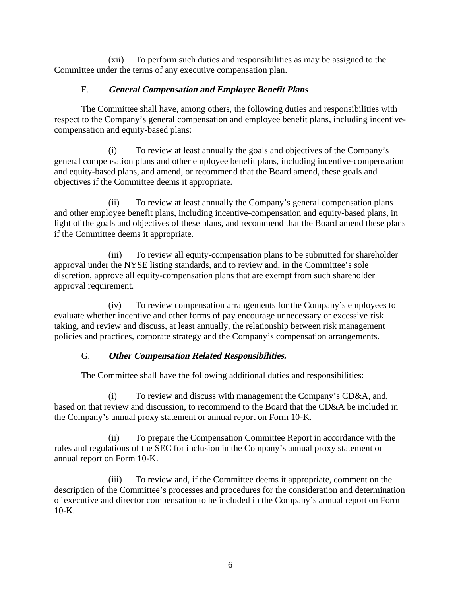(xii) To perform such duties and responsibilities as may be assigned to the Committee under the terms of any executive compensation plan.

### F. **General Compensation and Employee Benefit Plans**

The Committee shall have, among others, the following duties and responsibilities with respect to the Company's general compensation and employee benefit plans, including incentivecompensation and equity-based plans:

(i) To review at least annually the goals and objectives of the Company's general compensation plans and other employee benefit plans, including incentive-compensation and equity-based plans, and amend, or recommend that the Board amend, these goals and objectives if the Committee deems it appropriate.

(ii) To review at least annually the Company's general compensation plans and other employee benefit plans, including incentive-compensation and equity-based plans, in light of the goals and objectives of these plans, and recommend that the Board amend these plans if the Committee deems it appropriate.

(iii) To review all equity-compensation plans to be submitted for shareholder approval under the NYSE listing standards, and to review and, in the Committee's sole discretion, approve all equity-compensation plans that are exempt from such shareholder approval requirement.

(iv) To review compensation arrangements for the Company's employees to evaluate whether incentive and other forms of pay encourage unnecessary or excessive risk taking, and review and discuss, at least annually, the relationship between risk management policies and practices, corporate strategy and the Company's compensation arrangements.

# G. **Other Compensation Related Responsibilities.**

The Committee shall have the following additional duties and responsibilities:

(i) To review and discuss with management the Company's CD&A, and, based on that review and discussion, to recommend to the Board that the CD&A be included in the Company's annual proxy statement or annual report on Form 10-K.

(ii) To prepare the Compensation Committee Report in accordance with the rules and regulations of the SEC for inclusion in the Company's annual proxy statement or annual report on Form 10-K.

(iii) To review and, if the Committee deems it appropriate, comment on the description of the Committee's processes and procedures for the consideration and determination of executive and director compensation to be included in the Company's annual report on Form 10-K.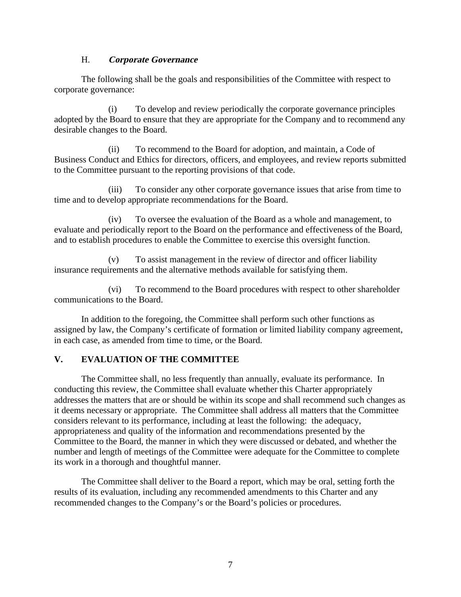### H. **Corporate Governance**

The following shall be the goals and responsibilities of the Committee with respect to corporate governance:

(i) To develop and review periodically the corporate governance principles adopted by the Board to ensure that they are appropriate for the Company and to recommend any desirable changes to the Board.

(ii) To recommend to the Board for adoption, and maintain, a Code of Business Conduct and Ethics for directors, officers, and employees, and review reports submitted to the Committee pursuant to the reporting provisions of that code.

(iii) To consider any other corporate governance issues that arise from time to time and to develop appropriate recommendations for the Board.

(iv) To oversee the evaluation of the Board as a whole and management, to evaluate and periodically report to the Board on the performance and effectiveness of the Board, and to establish procedures to enable the Committee to exercise this oversight function.

(v) To assist management in the review of director and officer liability insurance requirements and the alternative methods available for satisfying them.

(vi) To recommend to the Board procedures with respect to other shareholder communications to the Board.

In addition to the foregoing, the Committee shall perform such other functions as assigned by law, the Company's certificate of formation or limited liability company agreement, in each case, as amended from time to time, or the Board.

# **V. EVALUATION OF THE COMMITTEE**

The Committee shall, no less frequently than annually, evaluate its performance. In conducting this review, the Committee shall evaluate whether this Charter appropriately addresses the matters that are or should be within its scope and shall recommend such changes as it deems necessary or appropriate. The Committee shall address all matters that the Committee considers relevant to its performance, including at least the following: the adequacy, appropriateness and quality of the information and recommendations presented by the Committee to the Board, the manner in which they were discussed or debated, and whether the number and length of meetings of the Committee were adequate for the Committee to complete its work in a thorough and thoughtful manner.

The Committee shall deliver to the Board a report, which may be oral, setting forth the results of its evaluation, including any recommended amendments to this Charter and any recommended changes to the Company's or the Board's policies or procedures.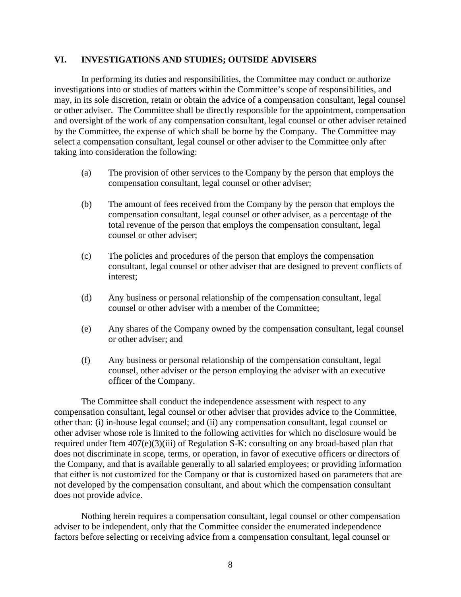#### **VI. INVESTIGATIONS AND STUDIES; OUTSIDE ADVISERS**

In performing its duties and responsibilities, the Committee may conduct or authorize investigations into or studies of matters within the Committee's scope of responsibilities, and may, in its sole discretion, retain or obtain the advice of a compensation consultant, legal counsel or other adviser. The Committee shall be directly responsible for the appointment, compensation and oversight of the work of any compensation consultant, legal counsel or other adviser retained by the Committee, the expense of which shall be borne by the Company. The Committee may select a compensation consultant, legal counsel or other adviser to the Committee only after taking into consideration the following:

- (a) The provision of other services to the Company by the person that employs the compensation consultant, legal counsel or other adviser;
- (b) The amount of fees received from the Company by the person that employs the compensation consultant, legal counsel or other adviser, as a percentage of the total revenue of the person that employs the compensation consultant, legal counsel or other adviser;
- (c) The policies and procedures of the person that employs the compensation consultant, legal counsel or other adviser that are designed to prevent conflicts of interest;
- (d) Any business or personal relationship of the compensation consultant, legal counsel or other adviser with a member of the Committee;
- (e) Any shares of the Company owned by the compensation consultant, legal counsel or other adviser; and
- (f) Any business or personal relationship of the compensation consultant, legal counsel, other adviser or the person employing the adviser with an executive officer of the Company.

The Committee shall conduct the independence assessment with respect to any compensation consultant, legal counsel or other adviser that provides advice to the Committee, other than: (i) in-house legal counsel; and (ii) any compensation consultant, legal counsel or other adviser whose role is limited to the following activities for which no disclosure would be required under Item 407(e)(3)(iii) of Regulation S-K: consulting on any broad-based plan that does not discriminate in scope, terms, or operation, in favor of executive officers or directors of the Company, and that is available generally to all salaried employees; or providing information that either is not customized for the Company or that is customized based on parameters that are not developed by the compensation consultant, and about which the compensation consultant does not provide advice.

Nothing herein requires a compensation consultant, legal counsel or other compensation adviser to be independent, only that the Committee consider the enumerated independence factors before selecting or receiving advice from a compensation consultant, legal counsel or